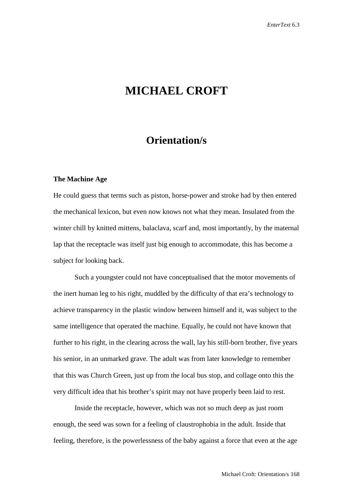# **MICHAEL CROFT**

## **Orientation/s**

#### **The Machine Age**

He could guess that terms such as piston, horse-power and stroke had by then entered the mechanical lexicon, but even now knows not what they mean. Insulated from the winter chill by knitted mittens, balaclava, scarf and, most importantly, by the maternal lap that the receptacle was itself just big enough to accommodate, this has become a subject for looking back.

Such a youngster could not have conceptualised that the motor movements of the inert human leg to his right, muddled by the difficulty of that era's technology to achieve transparency in the plastic window between himself and it, was subject to the same intelligence that operated the machine. Equally, he could not have known that further to his right, in the clearing across the wall, lay his still-born brother, five years his senior, in an unmarked grave. The adult was from later knowledge to remember that this was Church Green, just up from the local bus stop, and collage onto this the very difficult idea that his brother's spirit may not have properly been laid to rest.

Inside the receptacle, however, which was not so much deep as just room enough, the seed was sown for a feeling of claustrophobia in the adult. Inside that feeling, therefore, is the powerlessness of the baby against a force that even at the age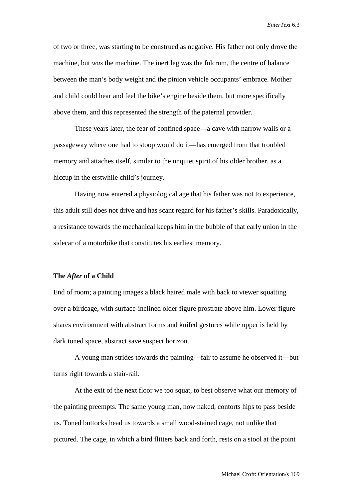*EnterText* 6.3

of two or three, was starting to be construed as negative. His father not only drove the machine, but *was* the machine. The inert leg was the fulcrum, the centre of balance between the man's body weight and the pinion vehicle occupants' embrace. Mother and child could hear and feel the bike's engine beside them, but more specifically above them, and this represented the strength of the paternal provider.

These years later, the fear of confined space—a cave with narrow walls or a passageway where one had to stoop would do it—has emerged from that troubled memory and attaches itself, similar to the unquiet spirit of his older brother, as a hiccup in the erstwhile child's journey.

Having now entered a physiological age that his father was not to experience, this adult still does not drive and has scant regard for his father's skills. Paradoxically, a resistance towards the mechanical keeps him in the bubble of that early union in the sidecar of a motorbike that constitutes his earliest memory.

#### **The** *After* **of a Child**

End of room; a painting images a black haired male with back to viewer squatting over a birdcage, with surface-inclined older figure prostrate above him. Lower figure shares environment with abstract forms and knifed gestures while upper is held by dark toned space, abstract save suspect horizon.

A young man strides towards the painting—fair to assume he observed it—but turns right towards a stair-rail.

At the exit of the next floor we too squat, to best observe what our memory of the painting preempts. The same young man, now naked, contorts hips to pass beside us. Toned buttocks head us towards a small wood-stained cage, not unlike that pictured. The cage, in which a bird flitters back and forth, rests on a stool at the point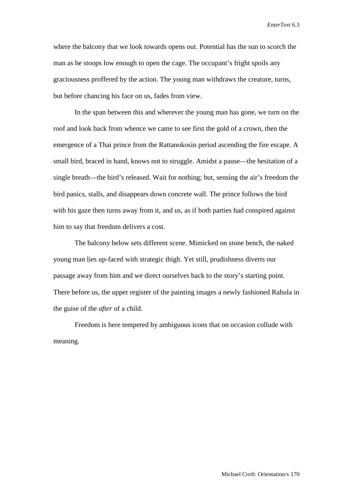*EnterText* 6.3

where the balcony that we look towards opens out. Potential has the sun to scorch the man as he stoops low enough to open the cage. The occupant's fright spoils any graciousness proffered by the action. The young man withdraws the creature, turns, but before chancing his face on us, fades from view.

In the span between this and wherever the young man has gone, we turn on the roof and look back from whence we came to see first the gold of a crown, then the emergence of a Thai prince from the Rattanokosin period ascending the fire escape. A small bird, braced in hand, knows not to struggle. Amidst a pause—the hesitation of a single breath—the bird's released. Wait for nothing; but, sensing the air's freedom the bird panics, stalls, and disappears down concrete wall. The prince follows the bird with his gaze then turns away from it, and us, as if both parties had conspired against him to say that freedom delivers a cost.

The balcony below sets different scene. Mimicked on stone bench, the naked young man lies up-faced with strategic thigh. Yet still, prudishness diverts our passage away from him and we direct ourselves back to the story's starting point. There before us, the upper register of the painting images a newly fashioned Rahula in the guise of the *after* of a child.

Freedom is here tempered by ambiguous icons that on occasion collude with meaning.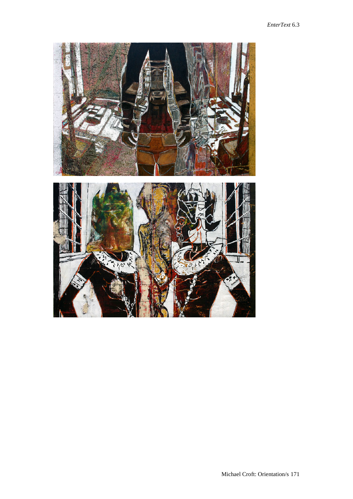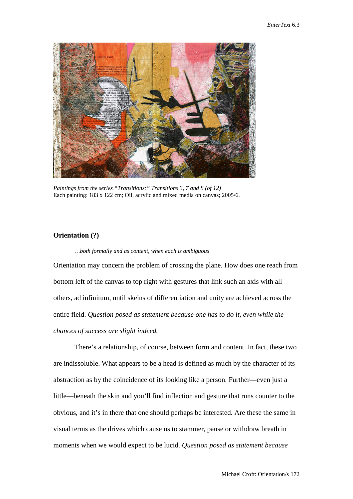

*Paintings from the series "Transitions:" Transitions 3, 7 and 8 (of 12)* Each painting: 183 x 122 cm; Oil, acrylic and mixed media on canvas; 2005/6.

### **Orientation (?)**

#### *…both formally and as content, when each is ambiguous*

Orientation may concern the problem of crossing the plane. How does one reach from bottom left of the canvas to top right with gestures that link such an axis with all others, ad infinitum, until skeins of differentiation and unity are achieved across the entire field. *Question posed as statement because one has to do it, even while the chances of success are slight indeed.*

There's a relationship, of course, between form and content. In fact, these two are indissoluble. What appears to be a head is defined as much by the character of its abstraction as by the coincidence of its looking like a person. Further—even just a little—beneath the skin and you'll find inflection and gesture that runs counter to the obvious, and it's in there that one should perhaps be interested. Are these the same in visual terms as the drives which cause us to stammer, pause or withdraw breath in moments when we would expect to be lucid. *Question posed as statement because*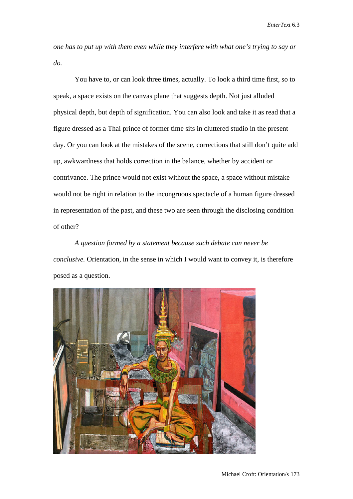*EnterText* 6.3

*one has to put up with them even while they interfere with what one's trying to say or do.*

You have to, or can look three times, actually. To look a third time first, so to speak, a space exists on the canvas plane that suggests depth. Not just alluded physical depth, but depth of signification. You can also look and take it as read that a figure dressed as a Thai prince of former time sits in cluttered studio in the present day. Or you can look at the mistakes of the scene, corrections that still don't quite add up, awkwardness that holds correction in the balance, whether by accident or contrivance. The prince would not exist without the space, a space without mistake would not be right in relation to the incongruous spectacle of a human figure dressed in representation of the past, and these two are seen through the disclosing condition of other?

*A question formed by a statement because such debate can never be conclusive.* Orientation, in the sense in which I would want to convey it, is therefore posed as a question.